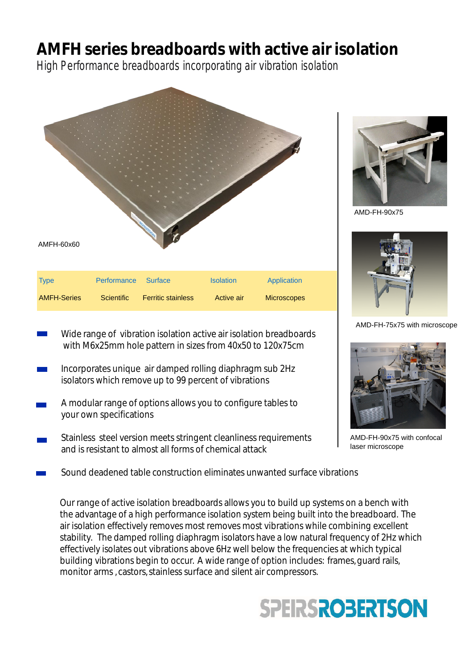## **AMFH series breadboards with active air isolation**

High Performance breadboards incorporating air vibration isolation



- Wide range of vibration isolation active air isolation breadboards with M6x25mm hole pattern in sizes from 40x50 to 120x75cm
- Incorporates unique air damped rolling diaphragm sub 2Hz isolators which remove up to 99 percent of vibrations
- A modular range of options allows you to configure tables to your own specifications
- Stainless steel version meets stringent cleanliness requirements and is resistant to almost all forms of chemical attack



AMD-FH-90x75



AMD-FH-75x75 with microscope



AMD-FH-90x75 with confocal laser microscope

Sound deadened table construction eliminates unwanted surface vibrations

Our range of active isolation breadboards allows you to build up systems on a bench with the advantage of a high performance isolation system being built into the breadboard. The air isolation effectively removes most removes most vibrations while combining excellent stability. The damped rolling diaphragm isolators have a low natural frequency of 2Hz which effectively isolates out vibrations above 6Hz well below the frequencies at which typical building vibrations begin to occur. A wide range of option includes: frames, guard rails, monitor arms , castors, stainless surface and silent air compressors.